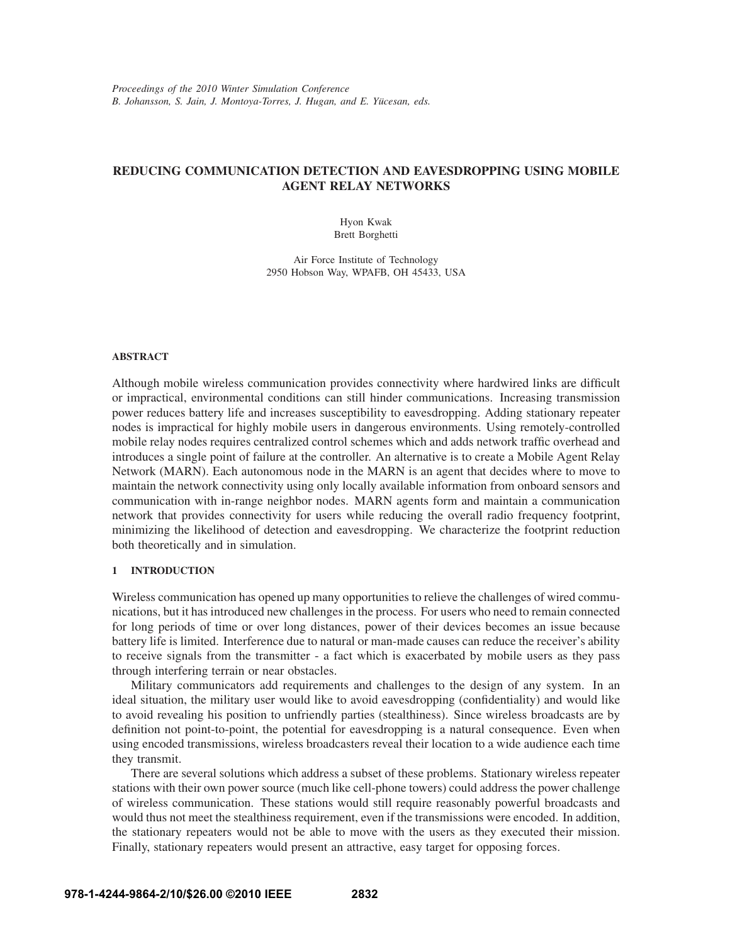# **REDUCING COMMUNICATION DETECTION AND EAVESDROPPING USING MOBILE AGENT RELAY NETWORKS**

Hyon Kwak Brett Borghetti

Air Force Institute of Technology 2950 Hobson Way, WPAFB, OH 45433, USA

## **ABSTRACT**

Although mobile wireless communication provides connectivity where hardwired links are difficult or impractical, environmental conditions can still hinder communications. Increasing transmission power reduces battery life and increases susceptibility to eavesdropping. Adding stationary repeater nodes is impractical for highly mobile users in dangerous environments. Using remotely-controlled mobile relay nodes requires centralized control schemes which and adds network traffic overhead and introduces a single point of failure at the controller. An alternative is to create a Mobile Agent Relay Network (MARN). Each autonomous node in the MARN is an agent that decides where to move to maintain the network connectivity using only locally available information from onboard sensors and communication with in-range neighbor nodes. MARN agents form and maintain a communication network that provides connectivity for users while reducing the overall radio frequency footprint, minimizing the likelihood of detection and eavesdropping. We characterize the footprint reduction both theoretically and in simulation.

## **1 INTRODUCTION**

Wireless communication has opened up many opportunities to relieve the challenges of wired communications, but it has introduced new challenges in the process. For users who need to remain connected for long periods of time or over long distances, power of their devices becomes an issue because battery life is limited. Interference due to natural or man-made causes can reduce the receiver's ability to receive signals from the transmitter - a fact which is exacerbated by mobile users as they pass through interfering terrain or near obstacles.

Military communicators add requirements and challenges to the design of any system. In an ideal situation, the military user would like to avoid eavesdropping (confidentiality) and would like to avoid revealing his position to unfriendly parties (stealthiness). Since wireless broadcasts are by definition not point-to-point, the potential for eavesdropping is a natural consequence. Even when using encoded transmissions, wireless broadcasters reveal their location to a wide audience each time they transmit.

There are several solutions which address a subset of these problems. Stationary wireless repeater stations with their own power source (much like cell-phone towers) could address the power challenge of wireless communication. These stations would still require reasonably powerful broadcasts and would thus not meet the stealthiness requirement, even if the transmissions were encoded. In addition, the stationary repeaters would not be able to move with the users as they executed their mission. Finally, stationary repeaters would present an attractive, easy target for opposing forces.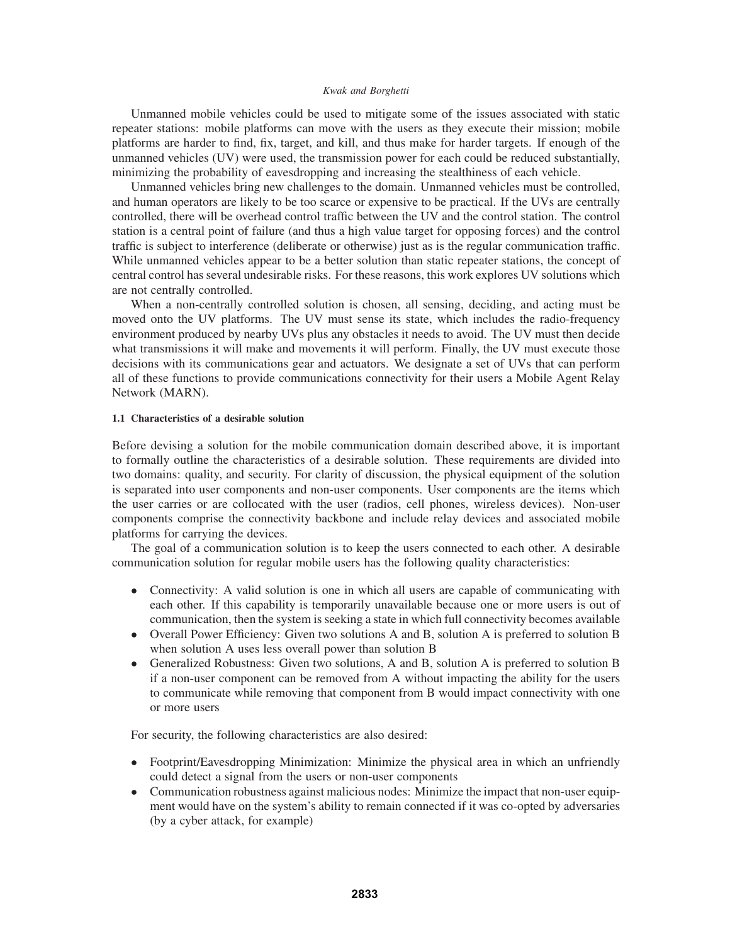Unmanned mobile vehicles could be used to mitigate some of the issues associated with static repeater stations: mobile platforms can move with the users as they execute their mission; mobile platforms are harder to find, fix, target, and kill, and thus make for harder targets. If enough of the unmanned vehicles (UV) were used, the transmission power for each could be reduced substantially, minimizing the probability of eavesdropping and increasing the stealthiness of each vehicle.

Unmanned vehicles bring new challenges to the domain. Unmanned vehicles must be controlled, and human operators are likely to be too scarce or expensive to be practical. If the UVs are centrally controlled, there will be overhead control traffic between the UV and the control station. The control station is a central point of failure (and thus a high value target for opposing forces) and the control traffic is subject to interference (deliberate or otherwise) just as is the regular communication traffic. While unmanned vehicles appear to be a better solution than static repeater stations, the concept of central control has several undesirable risks. For these reasons, this work explores UV solutions which are not centrally controlled.

When a non-centrally controlled solution is chosen, all sensing, deciding, and acting must be moved onto the UV platforms. The UV must sense its state, which includes the radio-frequency environment produced by nearby UVs plus any obstacles it needs to avoid. The UV must then decide what transmissions it will make and movements it will perform. Finally, the UV must execute those decisions with its communications gear and actuators. We designate a set of UVs that can perform all of these functions to provide communications connectivity for their users a Mobile Agent Relay Network (MARN).

## **1.1 Characteristics of a desirable solution**

Before devising a solution for the mobile communication domain described above, it is important to formally outline the characteristics of a desirable solution. These requirements are divided into two domains: quality, and security. For clarity of discussion, the physical equipment of the solution is separated into user components and non-user components. User components are the items which the user carries or are collocated with the user (radios, cell phones, wireless devices). Non-user components comprise the connectivity backbone and include relay devices and associated mobile platforms for carrying the devices.

The goal of a communication solution is to keep the users connected to each other. A desirable communication solution for regular mobile users has the following quality characteristics:

- Connectivity: A valid solution is one in which all users are capable of communicating with each other. If this capability is temporarily unavailable because one or more users is out of communication, then the system is seeking a state in which full connectivity becomes available
- Overall Power Efficiency: Given two solutions A and B, solution A is preferred to solution B when solution A uses less overall power than solution B
- Generalized Robustness: Given two solutions, A and B, solution A is preferred to solution B if a non-user component can be removed from A without impacting the ability for the users to communicate while removing that component from B would impact connectivity with one or more users

For security, the following characteristics are also desired:

- Footprint/Eavesdropping Minimization: Minimize the physical area in which an unfriendly could detect a signal from the users or non-user components
- Communication robustness against malicious nodes: Minimize the impact that non-user equipment would have on the system's ability to remain connected if it was co-opted by adversaries (by a cyber attack, for example)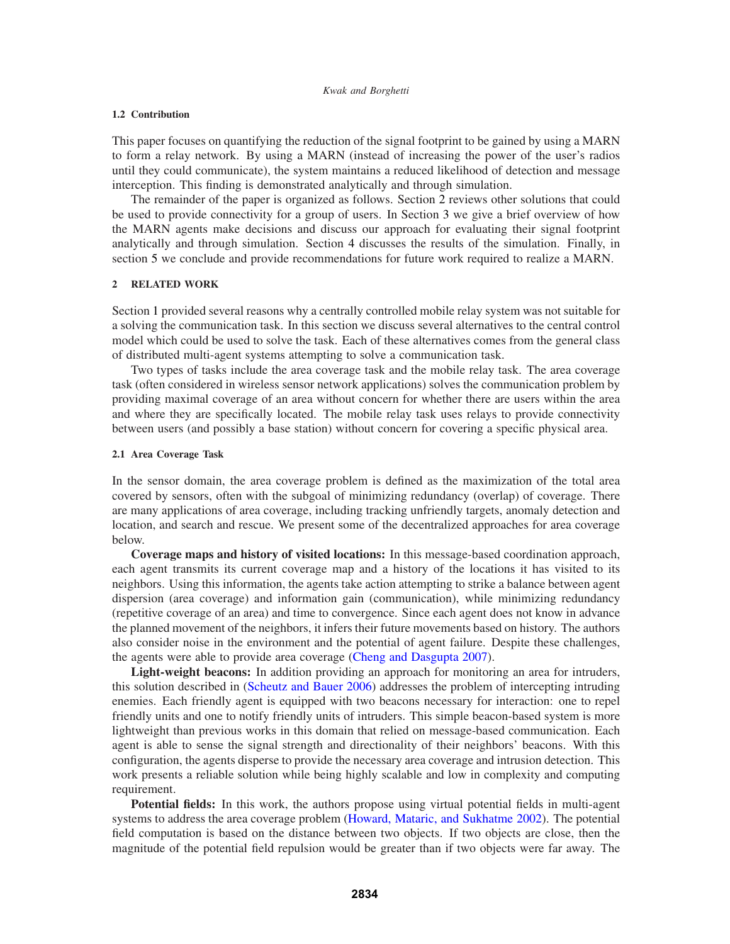### **1.2 Contribution**

This paper focuses on quantifying the reduction of the signal footprint to be gained by using a MARN to form a relay network. By using a MARN (instead of increasing the power of the user's radios until they could communicate), the system maintains a reduced likelihood of detection and message interception. This finding is demonstrated analytically and through simulation.

The remainder of the paper is organized as follows. Section 2 reviews other solutions that could be used to provide connectivity for a group of users. In Section 3 we give a brief overview of how the MARN agents make decisions and discuss our approach for evaluating their signal footprint analytically and through simulation. Section 4 discusses the results of the simulation. Finally, in section 5 we conclude and provide recommendations for future work required to realize a MARN.

### **2 RELATED WORK**

Section 1 provided several reasons why a centrally controlled mobile relay system was not suitable for a solving the communication task. In this section we discuss several alternatives to the central control model which could be used to solve the task. Each of these alternatives comes from the general class of distributed multi-agent systems attempting to solve a communication task.

Two types of tasks include the area coverage task and the mobile relay task. The area coverage task (often considered in wireless sensor network applications) solves the communication problem by providing maximal coverage of an area without concern for whether there are users within the area and where they are specifically located. The mobile relay task uses relays to provide connectivity between users (and possibly a base station) without concern for covering a specific physical area.

## **2.1 Area Coverage Task**

In the sensor domain, the area coverage problem is defined as the maximization of the total area covered by sensors, often with the subgoal of minimizing redundancy (overlap) of coverage. There are many applications of area coverage, including tracking unfriendly targets, anomaly detection and location, and search and rescue. We present some of the decentralized approaches for area coverage below.

**Coverage maps and history of visited locations:** In this message-based coordination approach, each agent transmits its current coverage map and a history of the locations it has visited to its neighbors. Using this information, the agents take action attempting to strike a balance between agent dispersion (area coverage) and information gain (communication), while minimizing redundancy (repetitive coverage of an area) and time to convergence. Since each agent does not know in advance the planned movement of the neighbors, it infers their future movements based on history. The authors also consider noise in the environment and the potential of agent failure. Despite these challenges, the agents were able to provide area coverage (Cheng and Dasgupta 2007).

**Light-weight beacons:** In addition providing an approach for monitoring an area for intruders, this solution described in (Scheutz and Bauer 2006) addresses the problem of intercepting intruding enemies. Each friendly agent is equipped with two beacons necessary for interaction: one to repel friendly units and one to notify friendly units of intruders. This simple beacon-based system is more lightweight than previous works in this domain that relied on message-based communication. Each agent is able to sense the signal strength and directionality of their neighbors' beacons. With this configuration, the agents disperse to provide the necessary area coverage and intrusion detection. This work presents a reliable solution while being highly scalable and low in complexity and computing requirement.

**Potential fields:** In this work, the authors propose using virtual potential fields in multi-agent systems to address the area coverage problem (Howard, Mataric, and Sukhatme 2002). The potential field computation is based on the distance between two objects. If two objects are close, then the magnitude of the potential field repulsion would be greater than if two objects were far away. The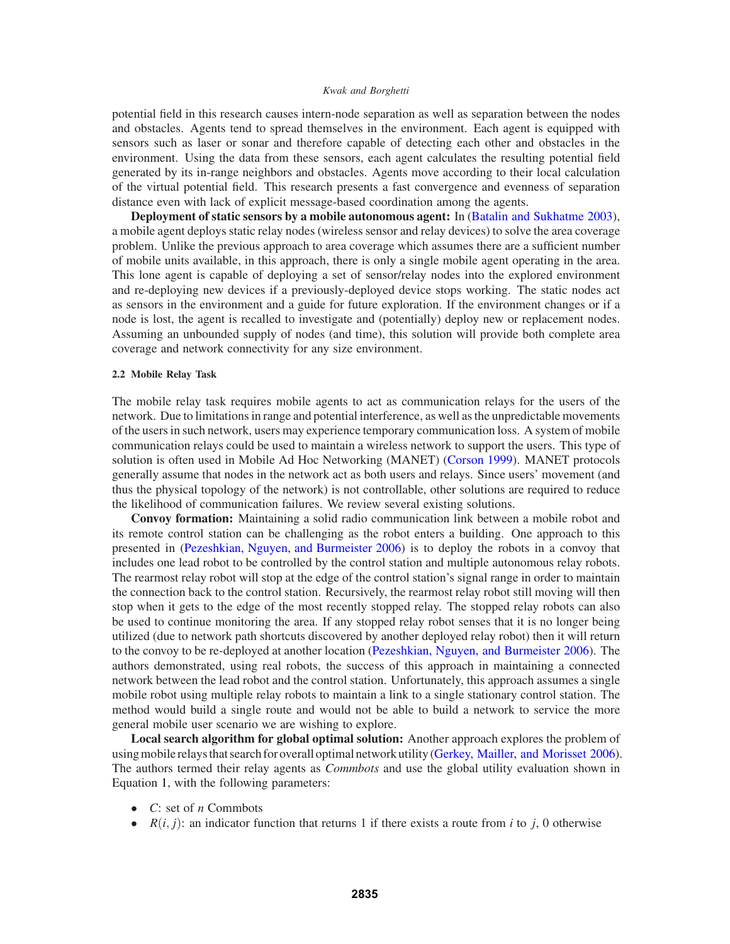potential field in this research causes intern-node separation as well as separation between the nodes and obstacles. Agents tend to spread themselves in the environment. Each agent is equipped with sensors such as laser or sonar and therefore capable of detecting each other and obstacles in the environment. Using the data from these sensors, each agent calculates the resulting potential field generated by its in-range neighbors and obstacles. Agents move according to their local calculation of the virtual potential field. This research presents a fast convergence and evenness of separation distance even with lack of explicit message-based coordination among the agents.

**Deployment of static sensors by a mobile autonomous agent:** In (Batalin and Sukhatme 2003), a mobile agent deploys static relay nodes (wireless sensor and relay devices) to solve the area coverage problem. Unlike the previous approach to area coverage which assumes there are a sufficient number of mobile units available, in this approach, there is only a single mobile agent operating in the area. This lone agent is capable of deploying a set of sensor/relay nodes into the explored environment and re-deploying new devices if a previously-deployed device stops working. The static nodes act as sensors in the environment and a guide for future exploration. If the environment changes or if a node is lost, the agent is recalled to investigate and (potentially) deploy new or replacement nodes. Assuming an unbounded supply of nodes (and time), this solution will provide both complete area coverage and network connectivity for any size environment.

## **2.2 Mobile Relay Task**

The mobile relay task requires mobile agents to act as communication relays for the users of the network. Due to limitations in range and potential interference, as well as the unpredictable movements of the users in such network, users may experience temporary communication loss. A system of mobile communication relays could be used to maintain a wireless network to support the users. This type of solution is often used in Mobile Ad Hoc Networking (MANET) (Corson 1999). MANET protocols generally assume that nodes in the network act as both users and relays. Since users' movement (and thus the physical topology of the network) is not controllable, other solutions are required to reduce the likelihood of communication failures. We review several existing solutions.

**Convoy formation:** Maintaining a solid radio communication link between a mobile robot and its remote control station can be challenging as the robot enters a building. One approach to this presented in (Pezeshkian, Nguyen, and Burmeister 2006) is to deploy the robots in a convoy that includes one lead robot to be controlled by the control station and multiple autonomous relay robots. The rearmost relay robot will stop at the edge of the control station's signal range in order to maintain the connection back to the control station. Recursively, the rearmost relay robot still moving will then stop when it gets to the edge of the most recently stopped relay. The stopped relay robots can also be used to continue monitoring the area. If any stopped relay robot senses that it is no longer being utilized (due to network path shortcuts discovered by another deployed relay robot) then it will return to the convoy to be re-deployed at another location (Pezeshkian, Nguyen, and Burmeister 2006). The authors demonstrated, using real robots, the success of this approach in maintaining a connected network between the lead robot and the control station. Unfortunately, this approach assumes a single mobile robot using multiple relay robots to maintain a link to a single stationary control station. The method would build a single route and would not be able to build a network to service the more general mobile user scenario we are wishing to explore.

**Local search algorithm for global optimal solution:** Another approach explores the problem of using mobile relays that search for overall optimal network utility (Gerkey, Mailler, and Morisset 2006). The authors termed their relay agents as *Commbots* and use the global utility evaluation shown in Equation 1, with the following parameters:

- *C*: set of *n* Commbots
- $R(i, j)$ : an indicator function that returns 1 if there exists a route from *i* to *j*, 0 otherwise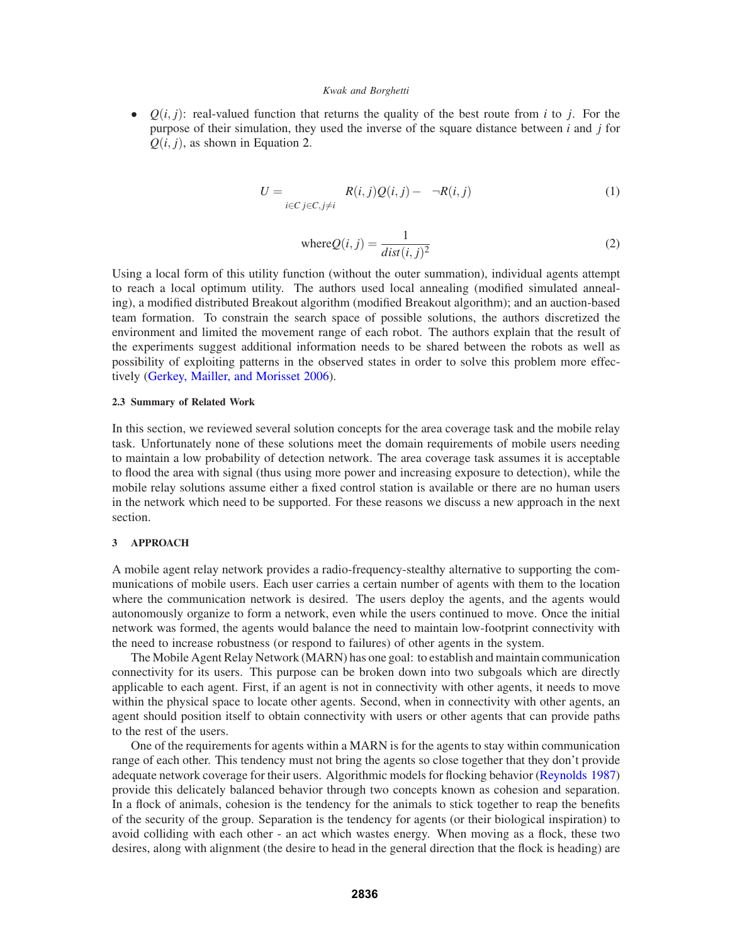•  $Q(i, j)$ : real-valued function that returns the quality of the best route from *i* to *j*. For the purpose of their simulation, they used the inverse of the square distance between *i* and *j* for  $Q(i, j)$ , as shown in Equation 2.

$$
U = \sum_{i \in C} \sum_{j \in C, j \neq i} \alpha R(i, j) Q(i, j) - \beta \neg R(i, j) \tag{1}
$$

where 
$$
Q(i, j) = \frac{1}{dist(i, j)^2}
$$
 (2)

Using a local form of this utility function (without the outer summation), individual agents attempt to reach a local optimum utility. The authors used local annealing (modified simulated annealing), a modified distributed Breakout algorithm (modified Breakout algorithm); and an auction-based team formation. To constrain the search space of possible solutions, the authors discretized the environment and limited the movement range of each robot. The authors explain that the result of the experiments suggest additional information needs to be shared between the robots as well as possibility of exploiting patterns in the observed states in order to solve this problem more effectively (Gerkey, Mailler, and Morisset 2006).

#### **2.3 Summary of Related Work**

In this section, we reviewed several solution concepts for the area coverage task and the mobile relay task. Unfortunately none of these solutions meet the domain requirements of mobile users needing to maintain a low probability of detection network. The area coverage task assumes it is acceptable to flood the area with signal (thus using more power and increasing exposure to detection), while the mobile relay solutions assume either a fixed control station is available or there are no human users in the network which need to be supported. For these reasons we discuss a new approach in the next section.

### **3 APPROACH**

A mobile agent relay network provides a radio-frequency-stealthy alternative to supporting the communications of mobile users. Each user carries a certain number of agents with them to the location where the communication network is desired. The users deploy the agents, and the agents would autonomously organize to form a network, even while the users continued to move. Once the initial network was formed, the agents would balance the need to maintain low-footprint connectivity with the need to increase robustness (or respond to failures) of other agents in the system.

The Mobile Agent Relay Network (MARN) has one goal: to establish and maintain communication connectivity for its users. This purpose can be broken down into two subgoals which are directly applicable to each agent. First, if an agent is not in connectivity with other agents, it needs to move within the physical space to locate other agents. Second, when in connectivity with other agents, an agent should position itself to obtain connectivity with users or other agents that can provide paths to the rest of the users.

One of the requirements for agents within a MARN is for the agents to stay within communication range of each other. This tendency must not bring the agents so close together that they don't provide adequate network coverage for their users. Algorithmic models for flocking behavior (Reynolds 1987) provide this delicately balanced behavior through two concepts known as cohesion and separation. In a flock of animals, cohesion is the tendency for the animals to stick together to reap the benefits of the security of the group. Separation is the tendency for agents (or their biological inspiration) to avoid colliding with each other - an act which wastes energy. When moving as a flock, these two desires, along with alignment (the desire to head in the general direction that the flock is heading) are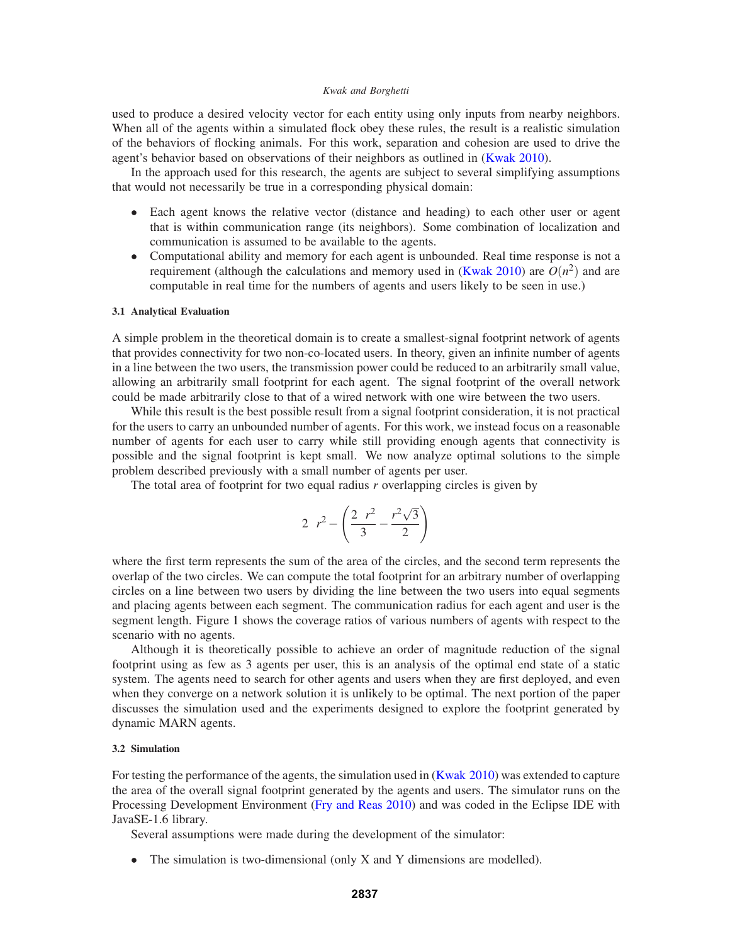used to produce a desired velocity vector for each entity using only inputs from nearby neighbors. When all of the agents within a simulated flock obey these rules, the result is a realistic simulation of the behaviors of flocking animals. For this work, separation and cohesion are used to drive the agent's behavior based on observations of their neighbors as outlined in (Kwak 2010).

In the approach used for this research, the agents are subject to several simplifying assumptions that would not necessarily be true in a corresponding physical domain:

- Each agent knows the relative vector (distance and heading) to each other user or agent that is within communication range (its neighbors). Some combination of localization and communication is assumed to be available to the agents.
- Computational ability and memory for each agent is unbounded. Real time response is not a requirement (although the calculations and memory used in (Kwak 2010) are  $O(n^2)$  and are computable in real time for the numbers of agents and users likely to be seen in use.)

#### **3.1 Analytical Evaluation**

A simple problem in the theoretical domain is to create a smallest-signal footprint network of agents that provides connectivity for two non-co-located users. In theory, given an infinite number of agents in a line between the two users, the transmission power could be reduced to an arbitrarily small value, allowing an arbitrarily small footprint for each agent. The signal footprint of the overall network could be made arbitrarily close to that of a wired network with one wire between the two users.

While this result is the best possible result from a signal footprint consideration, it is not practical for the users to carry an unbounded number of agents. For this work, we instead focus on a reasonable number of agents for each user to carry while still providing enough agents that connectivity is possible and the signal footprint is kept small. We now analyze optimal solutions to the simple problem described previously with a small number of agents per user.

The total area of footprint for two equal radius *r* overlapping circles is given by

$$
2\pi r^2 - \left(\frac{2\pi r^2}{3} - \frac{r^2\sqrt{3}}{2}\right)
$$

where the first term represents the sum of the area of the circles, and the second term represents the overlap of the two circles. We can compute the total footprint for an arbitrary number of overlapping circles on a line between two users by dividing the line between the two users into equal segments and placing agents between each segment. The communication radius for each agent and user is the segment length. Figure 1 shows the coverage ratios of various numbers of agents with respect to the scenario with no agents.

Although it is theoretically possible to achieve an order of magnitude reduction of the signal footprint using as few as 3 agents per user, this is an analysis of the optimal end state of a static system. The agents need to search for other agents and users when they are first deployed, and even when they converge on a network solution it is unlikely to be optimal. The next portion of the paper discusses the simulation used and the experiments designed to explore the footprint generated by dynamic MARN agents.

## **3.2 Simulation**

For testing the performance of the agents, the simulation used in (Kwak 2010) was extended to capture the area of the overall signal footprint generated by the agents and users. The simulator runs on the Processing Development Environment (Fry and Reas 2010) and was coded in the Eclipse IDE with JavaSE-1.6 library.

Several assumptions were made during the development of the simulator:

• The simulation is two-dimensional (only X and Y dimensions are modelled).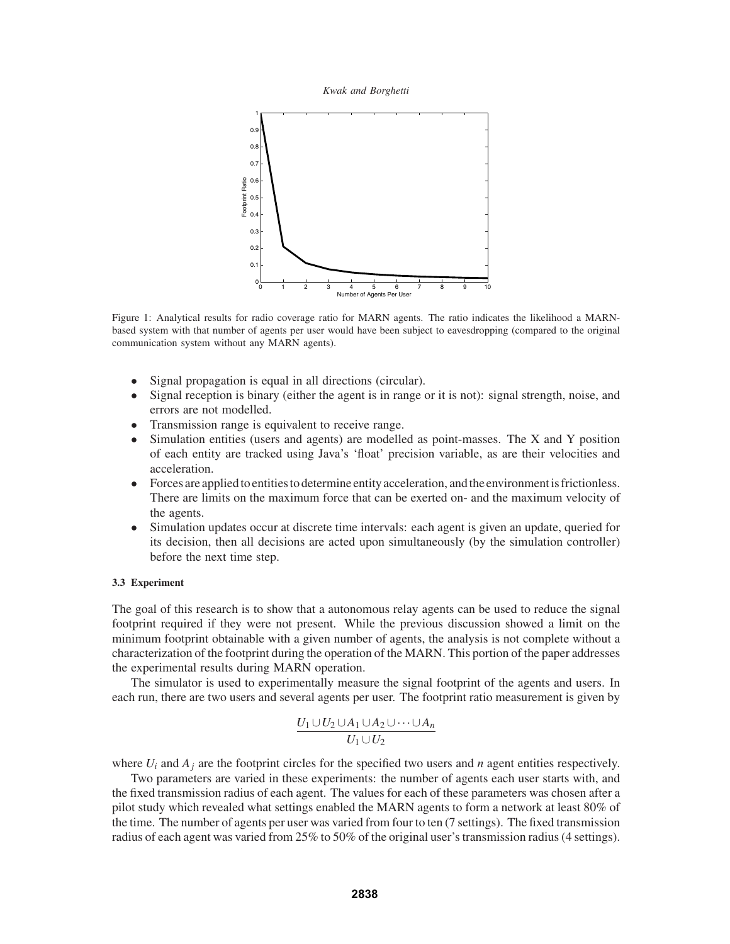*Kwak and Borghetti*



Figure 1: Analytical results for radio coverage ratio for MARN agents. The ratio indicates the likelihood a MARNbased system with that number of agents per user would have been subject to eavesdropping (compared to the original communication system without any MARN agents).

- Signal propagation is equal in all directions (circular).
- Signal reception is binary (either the agent is in range or it is not): signal strength, noise, and errors are not modelled.
- Transmission range is equivalent to receive range.
- Simulation entities (users and agents) are modelled as point-masses. The X and Y position of each entity are tracked using Java's 'float' precision variable, as are their velocities and acceleration.
- Forces are applied to entities to determine entity acceleration, and the environment is frictionless. There are limits on the maximum force that can be exerted on- and the maximum velocity of the agents.
- Simulation updates occur at discrete time intervals: each agent is given an update, queried for its decision, then all decisions are acted upon simultaneously (by the simulation controller) before the next time step.

## **3.3 Experiment**

The goal of this research is to show that a autonomous relay agents can be used to reduce the signal footprint required if they were not present. While the previous discussion showed a limit on the minimum footprint obtainable with a given number of agents, the analysis is not complete without a characterization of the footprint during the operation of the MARN. This portion of the paper addresses the experimental results during MARN operation.

The simulator is used to experimentally measure the signal footprint of the agents and users. In each run, there are two users and several agents per user. The footprint ratio measurement is given by

$$
\frac{U_1 \cup U_2 \cup A_1 \cup A_2 \cup \cdots \cup A_n}{U_1 \cup U_2}
$$

where  $U_i$  and  $A_j$  are the footprint circles for the specified two users and *n* agent entities respectively.

Two parameters are varied in these experiments: the number of agents each user starts with, and the fixed transmission radius of each agent. The values for each of these parameters was chosen after a pilot study which revealed what settings enabled the MARN agents to form a network at least 80% of the time. The number of agents per user was varied from four to ten (7 settings). The fixed transmission radius of each agent was varied from 25% to 50% of the original user's transmission radius (4 settings).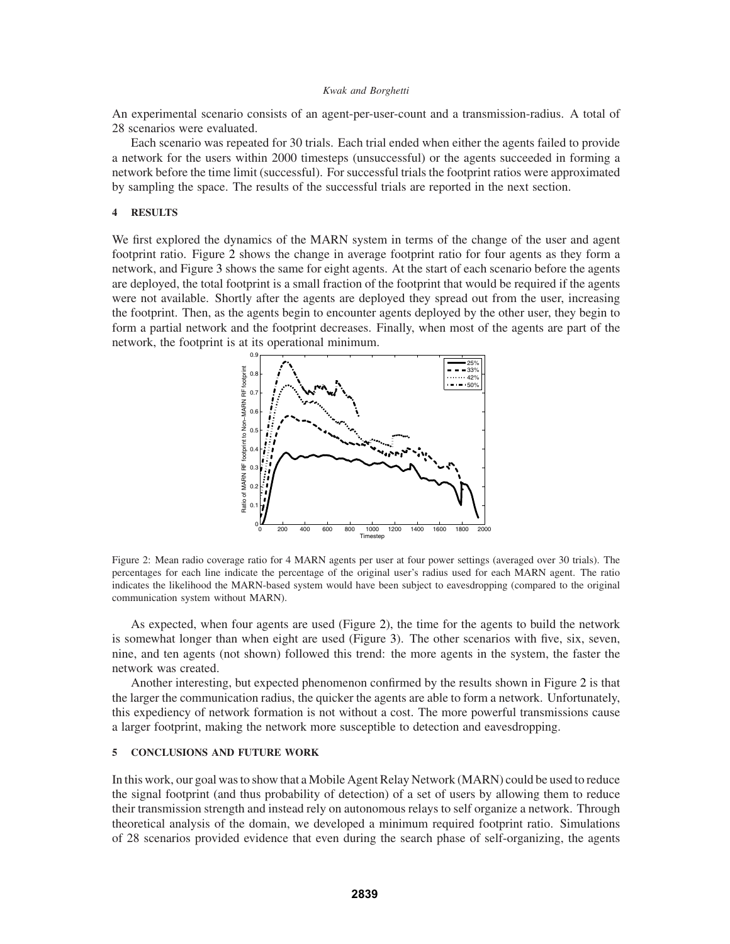An experimental scenario consists of an agent-per-user-count and a transmission-radius. A total of 28 scenarios were evaluated.

Each scenario was repeated for 30 trials. Each trial ended when either the agents failed to provide a network for the users within 2000 timesteps (unsuccessful) or the agents succeeded in forming a network before the time limit (successful). For successful trials the footprint ratios were approximated by sampling the space. The results of the successful trials are reported in the next section.

## **4 RESULTS**

We first explored the dynamics of the MARN system in terms of the change of the user and agent footprint ratio. Figure 2 shows the change in average footprint ratio for four agents as they form a network, and Figure 3 shows the same for eight agents. At the start of each scenario before the agents are deployed, the total footprint is a small fraction of the footprint that would be required if the agents were not available. Shortly after the agents are deployed they spread out from the user, increasing the footprint. Then, as the agents begin to encounter agents deployed by the other user, they begin to form a partial network and the footprint decreases. Finally, when most of the agents are part of the network, the footprint is at its operational minimum.



Figure 2: Mean radio coverage ratio for 4 MARN agents per user at four power settings (averaged over 30 trials). The percentages for each line indicate the percentage of the original user's radius used for each MARN agent. The ratio indicates the likelihood the MARN-based system would have been subject to eavesdropping (compared to the original communication system without MARN).

As expected, when four agents are used (Figure 2), the time for the agents to build the network is somewhat longer than when eight are used (Figure 3). The other scenarios with five, six, seven, nine, and ten agents (not shown) followed this trend: the more agents in the system, the faster the network was created.

Another interesting, but expected phenomenon confirmed by the results shown in Figure 2 is that the larger the communication radius, the quicker the agents are able to form a network. Unfortunately, this expediency of network formation is not without a cost. The more powerful transmissions cause a larger footprint, making the network more susceptible to detection and eavesdropping.

## **5 CONCLUSIONS AND FUTURE WORK**

In this work, our goal was to show that a Mobile Agent Relay Network (MARN) could be used to reduce the signal footprint (and thus probability of detection) of a set of users by allowing them to reduce their transmission strength and instead rely on autonomous relays to self organize a network. Through theoretical analysis of the domain, we developed a minimum required footprint ratio. Simulations of 28 scenarios provided evidence that even during the search phase of self-organizing, the agents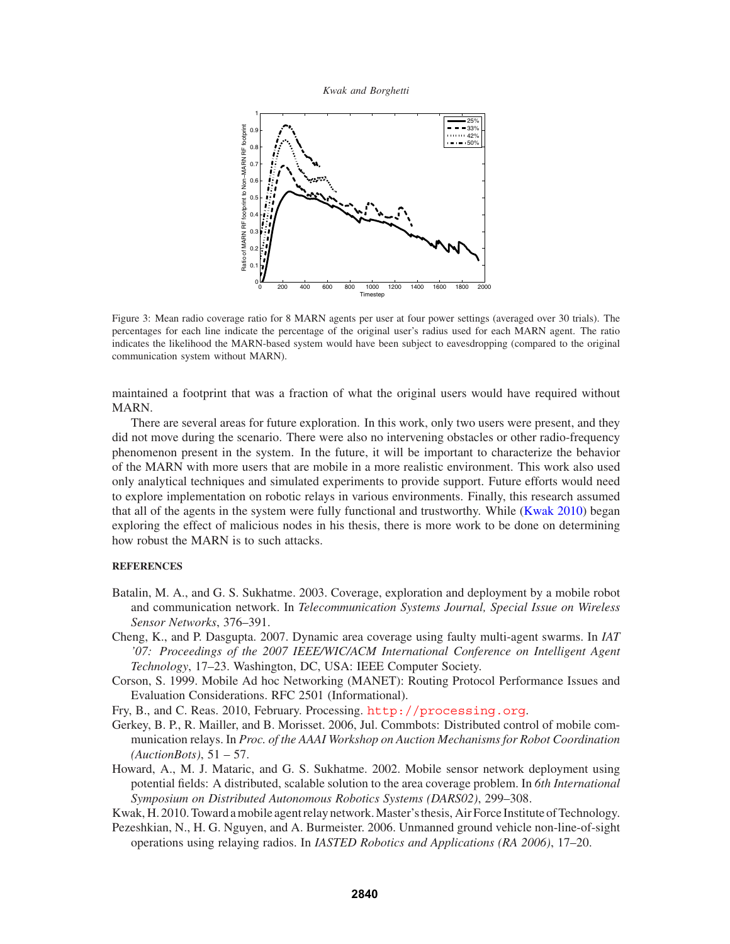*Kwak and Borghetti*



Figure 3: Mean radio coverage ratio for 8 MARN agents per user at four power settings (averaged over 30 trials). The percentages for each line indicate the percentage of the original user's radius used for each MARN agent. The ratio indicates the likelihood the MARN-based system would have been subject to eavesdropping (compared to the original communication system without MARN).

maintained a footprint that was a fraction of what the original users would have required without MARN.

There are several areas for future exploration. In this work, only two users were present, and they did not move during the scenario. There were also no intervening obstacles or other radio-frequency phenomenon present in the system. In the future, it will be important to characterize the behavior of the MARN with more users that are mobile in a more realistic environment. This work also used only analytical techniques and simulated experiments to provide support. Future efforts would need to explore implementation on robotic relays in various environments. Finally, this research assumed that all of the agents in the system were fully functional and trustworthy. While (Kwak 2010) began exploring the effect of malicious nodes in his thesis, there is more work to be done on determining how robust the MARN is to such attacks.

## **REFERENCES**

- Batalin, M. A., and G. S. Sukhatme. 2003. Coverage, exploration and deployment by a mobile robot and communication network. In *Telecommunication Systems Journal, Special Issue on Wireless Sensor Networks*, 376–391.
- Cheng, K., and P. Dasgupta. 2007. Dynamic area coverage using faulty multi-agent swarms. In *IAT '07: Proceedings of the 2007 IEEE/WIC/ACM International Conference on Intelligent Agent Technology*, 17–23. Washington, DC, USA: IEEE Computer Society.
- Corson, S. 1999. Mobile Ad hoc Networking (MANET): Routing Protocol Performance Issues and Evaluation Considerations. RFC 2501 (Informational).

Fry, B., and C. Reas. 2010, February. Processing. http://processing.org.

- Gerkey, B. P., R. Mailler, and B. Morisset. 2006, Jul. Commbots: Distributed control of mobile communication relays. In *Proc. of the AAAI Workshop on Auction Mechanisms for Robot Coordination (AuctionBots)*, 51 – 57.
- Howard, A., M. J. Mataric, and G. S. Sukhatme. 2002. Mobile sensor network deployment using potential fields: A distributed, scalable solution to the area coverage problem. In *6th International Symposium on Distributed Autonomous Robotics Systems (DARS02)*, 299–308.

Kwak, H. 2010. Toward a mobile agent relay network. Master's thesis, Air Force Institute of Technology.

Pezeshkian, N., H. G. Nguyen, and A. Burmeister. 2006. Unmanned ground vehicle non-line-of-sight operations using relaying radios. In *IASTED Robotics and Applications (RA 2006)*, 17–20.